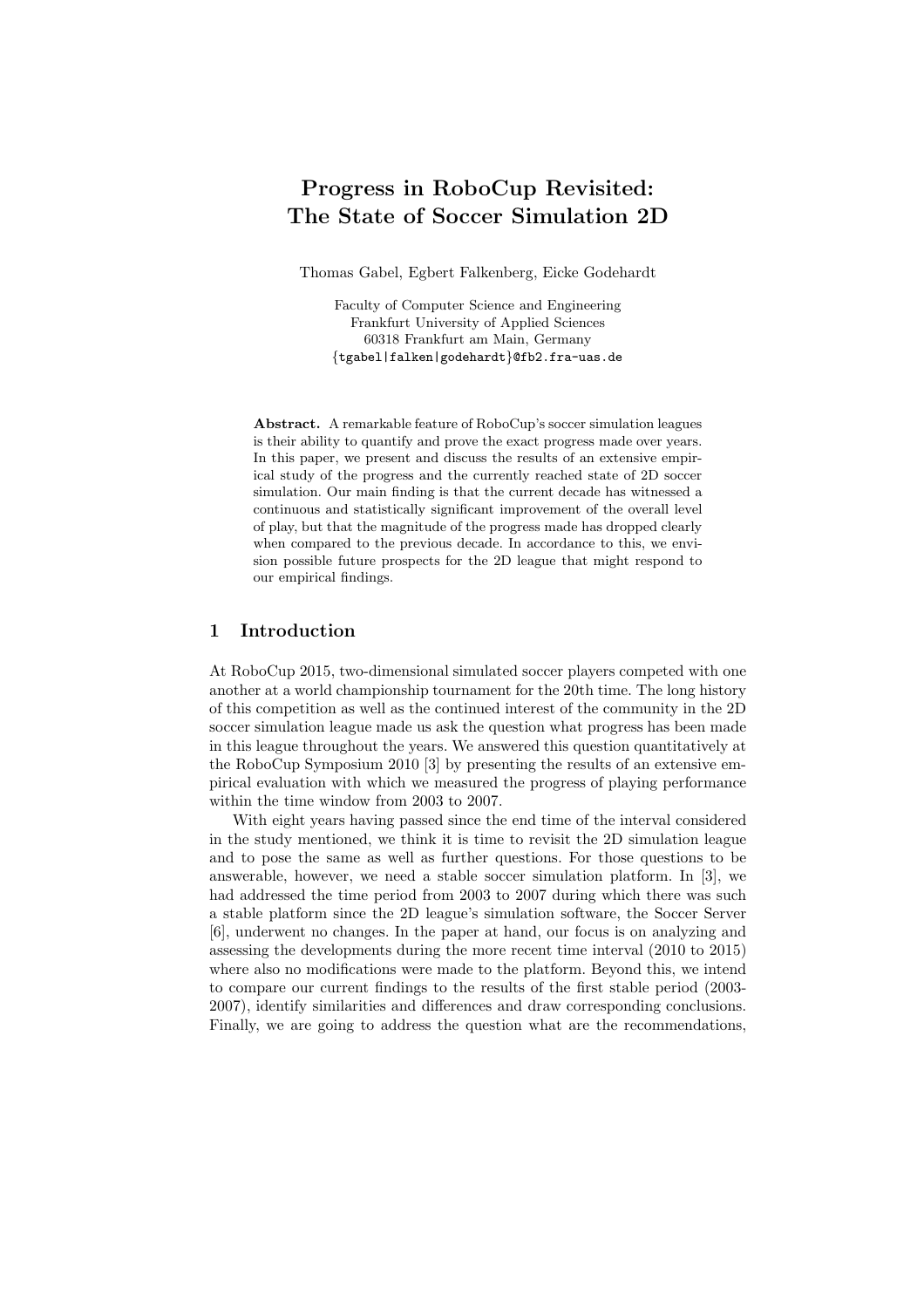# Progress in RoboCup Revisited: The State of Soccer Simulation 2D

Thomas Gabel, Egbert Falkenberg, Eicke Godehardt

Faculty of Computer Science and Engineering Frankfurt University of Applied Sciences 60318 Frankfurt am Main, Germany {tgabel|falken|godehardt}@fb2.fra-uas.de

Abstract. A remarkable feature of RoboCup's soccer simulation leagues is their ability to quantify and prove the exact progress made over years. In this paper, we present and discuss the results of an extensive empirical study of the progress and the currently reached state of 2D soccer simulation. Our main finding is that the current decade has witnessed a continuous and statistically significant improvement of the overall level of play, but that the magnitude of the progress made has dropped clearly when compared to the previous decade. In accordance to this, we envision possible future prospects for the 2D league that might respond to our empirical findings.

### 1 Introduction

At RoboCup 2015, two-dimensional simulated soccer players competed with one another at a world championship tournament for the 20th time. The long history of this competition as well as the continued interest of the community in the 2D soccer simulation league made us ask the question what progress has been made in this league throughout the years. We answered this question quantitatively at the RoboCup Symposium 2010 [3] by presenting the results of an extensive empirical evaluation with which we measured the progress of playing performance within the time window from 2003 to 2007.

With eight years having passed since the end time of the interval considered in the study mentioned, we think it is time to revisit the 2D simulation league and to pose the same as well as further questions. For those questions to be answerable, however, we need a stable soccer simulation platform. In [3], we had addressed the time period from 2003 to 2007 during which there was such a stable platform since the 2D league's simulation software, the Soccer Server [6], underwent no changes. In the paper at hand, our focus is on analyzing and assessing the developments during the more recent time interval (2010 to 2015) where also no modifications were made to the platform. Beyond this, we intend to compare our current findings to the results of the first stable period (2003- 2007), identify similarities and differences and draw corresponding conclusions. Finally, we are going to address the question what are the recommendations,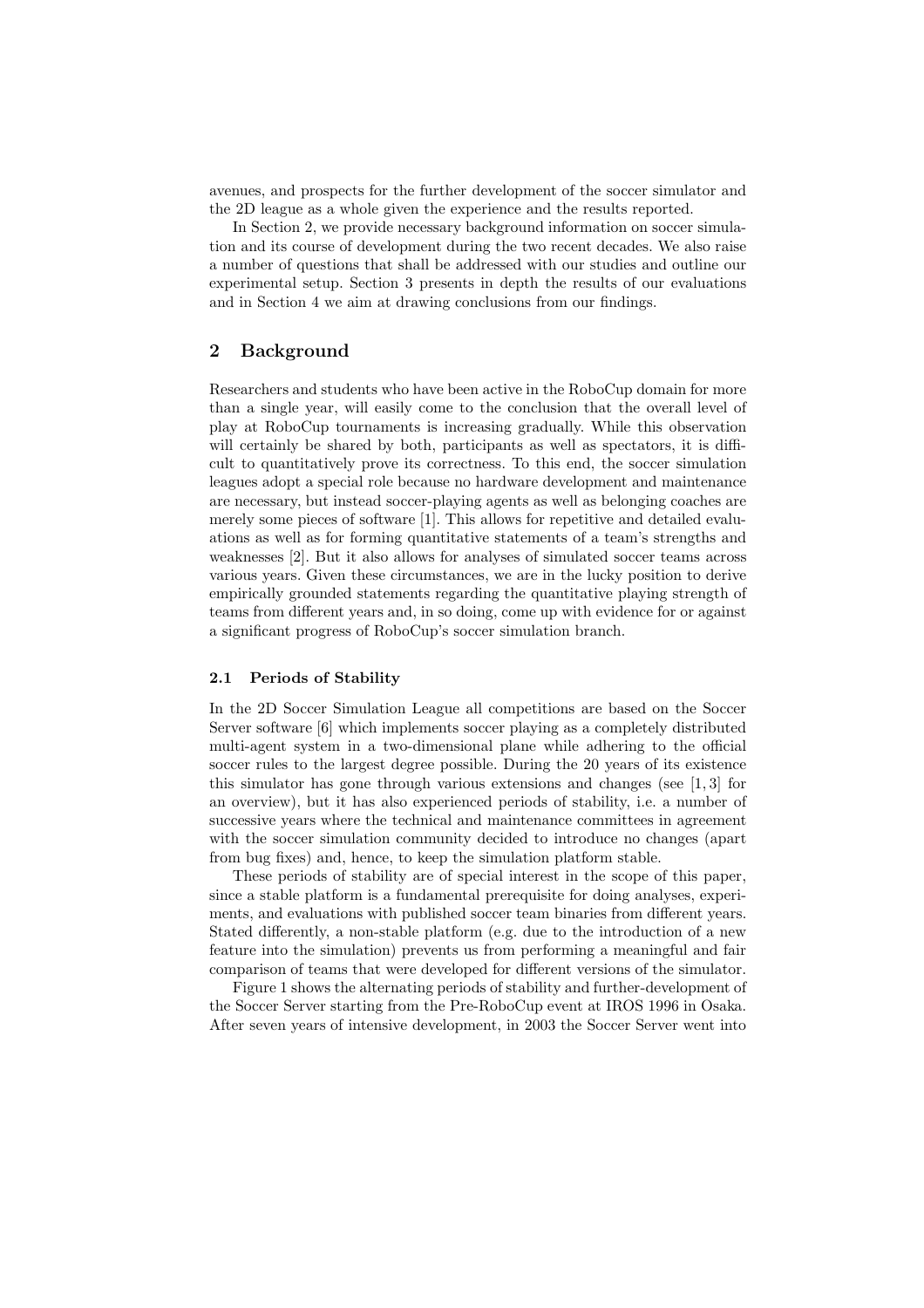avenues, and prospects for the further development of the soccer simulator and the 2D league as a whole given the experience and the results reported.

In Section 2, we provide necessary background information on soccer simulation and its course of development during the two recent decades. We also raise a number of questions that shall be addressed with our studies and outline our experimental setup. Section 3 presents in depth the results of our evaluations and in Section 4 we aim at drawing conclusions from our findings.

# 2 Background

Researchers and students who have been active in the RoboCup domain for more than a single year, will easily come to the conclusion that the overall level of play at RoboCup tournaments is increasing gradually. While this observation will certainly be shared by both, participants as well as spectators, it is difficult to quantitatively prove its correctness. To this end, the soccer simulation leagues adopt a special role because no hardware development and maintenance are necessary, but instead soccer-playing agents as well as belonging coaches are merely some pieces of software [1]. This allows for repetitive and detailed evaluations as well as for forming quantitative statements of a team's strengths and weaknesses [2]. But it also allows for analyses of simulated soccer teams across various years. Given these circumstances, we are in the lucky position to derive empirically grounded statements regarding the quantitative playing strength of teams from different years and, in so doing, come up with evidence for or against a significant progress of RoboCup's soccer simulation branch.

#### 2.1 Periods of Stability

In the 2D Soccer Simulation League all competitions are based on the Soccer Server software [6] which implements soccer playing as a completely distributed multi-agent system in a two-dimensional plane while adhering to the official soccer rules to the largest degree possible. During the 20 years of its existence this simulator has gone through various extensions and changes (see [1, 3] for an overview), but it has also experienced periods of stability, i.e. a number of successive years where the technical and maintenance committees in agreement with the soccer simulation community decided to introduce no changes (apart from bug fixes) and, hence, to keep the simulation platform stable.

These periods of stability are of special interest in the scope of this paper, since a stable platform is a fundamental prerequisite for doing analyses, experiments, and evaluations with published soccer team binaries from different years. Stated differently, a non-stable platform (e.g. due to the introduction of a new feature into the simulation) prevents us from performing a meaningful and fair comparison of teams that were developed for different versions of the simulator.

Figure 1 shows the alternating periods of stability and further-development of the Soccer Server starting from the Pre-RoboCup event at IROS 1996 in Osaka. After seven years of intensive development, in 2003 the Soccer Server went into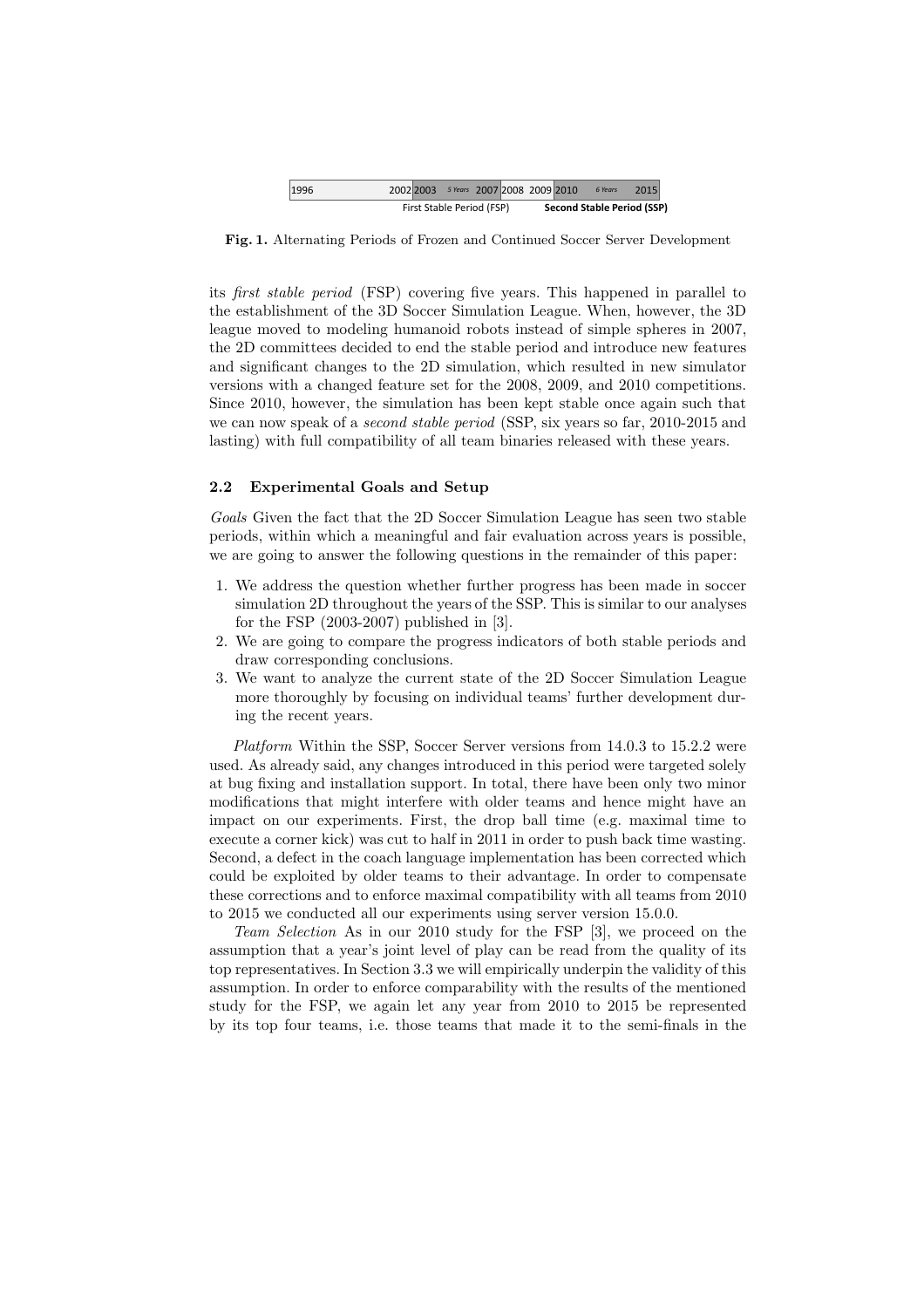

Fig. 1. Alternating Periods of Frozen and Continued Soccer Server Development

its first stable period (FSP) covering five years. This happened in parallel to the establishment of the 3D Soccer Simulation League. When, however, the 3D league moved to modeling humanoid robots instead of simple spheres in 2007, the 2D committees decided to end the stable period and introduce new features and significant changes to the 2D simulation, which resulted in new simulator versions with a changed feature set for the 2008, 2009, and 2010 competitions. Since 2010, however, the simulation has been kept stable once again such that we can now speak of a *second stable period* (SSP, six years so far, 2010-2015 and lasting) with full compatibility of all team binaries released with these years.

## 2.2 Experimental Goals and Setup

Goals Given the fact that the 2D Soccer Simulation League has seen two stable periods, within which a meaningful and fair evaluation across years is possible, we are going to answer the following questions in the remainder of this paper:

- 1. We address the question whether further progress has been made in soccer simulation 2D throughout the years of the SSP. This is similar to our analyses for the FSP (2003-2007) published in [3].
- 2. We are going to compare the progress indicators of both stable periods and draw corresponding conclusions.
- 3. We want to analyze the current state of the 2D Soccer Simulation League more thoroughly by focusing on individual teams' further development during the recent years.

Platform Within the SSP, Soccer Server versions from 14.0.3 to 15.2.2 were used. As already said, any changes introduced in this period were targeted solely at bug fixing and installation support. In total, there have been only two minor modifications that might interfere with older teams and hence might have an impact on our experiments. First, the drop ball time (e.g. maximal time to execute a corner kick) was cut to half in 2011 in order to push back time wasting. Second, a defect in the coach language implementation has been corrected which could be exploited by older teams to their advantage. In order to compensate these corrections and to enforce maximal compatibility with all teams from 2010 to 2015 we conducted all our experiments using server version 15.0.0.

Team Selection As in our 2010 study for the FSP [3], we proceed on the assumption that a year's joint level of play can be read from the quality of its top representatives. In Section 3.3 we will empirically underpin the validity of this assumption. In order to enforce comparability with the results of the mentioned study for the FSP, we again let any year from 2010 to 2015 be represented by its top four teams, i.e. those teams that made it to the semi-finals in the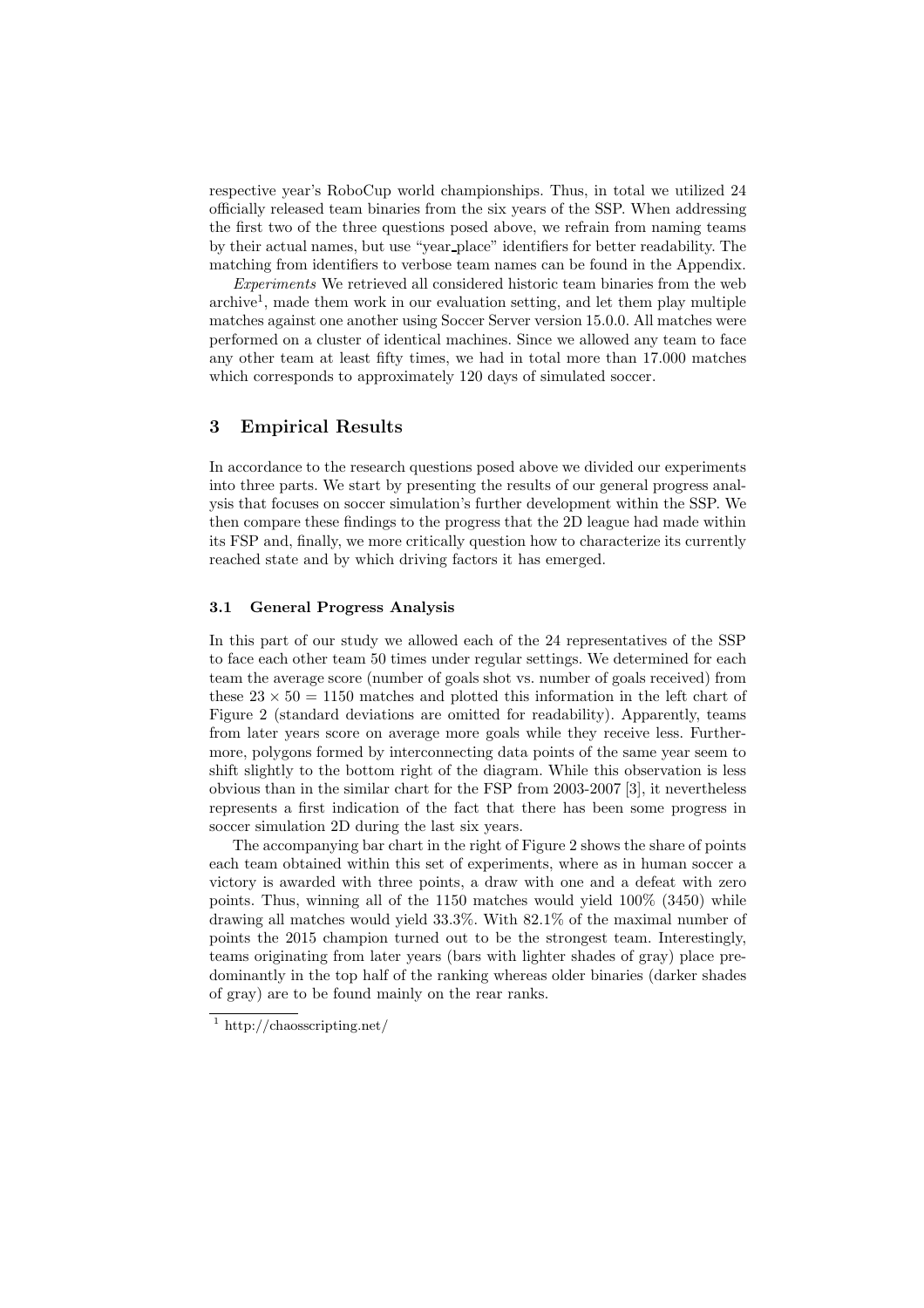respective year's RoboCup world championships. Thus, in total we utilized 24 officially released team binaries from the six years of the SSP. When addressing the first two of the three questions posed above, we refrain from naming teams by their actual names, but use "year place" identifiers for better readability. The matching from identifiers to verbose team names can be found in the Appendix.

Experiments We retrieved all considered historic team binaries from the web archive<sup>1</sup>, made them work in our evaluation setting, and let them play multiple matches against one another using Soccer Server version 15.0.0. All matches were performed on a cluster of identical machines. Since we allowed any team to face any other team at least fifty times, we had in total more than 17.000 matches which corresponds to approximately 120 days of simulated soccer.

# 3 Empirical Results

In accordance to the research questions posed above we divided our experiments into three parts. We start by presenting the results of our general progress analysis that focuses on soccer simulation's further development within the SSP. We then compare these findings to the progress that the 2D league had made within its FSP and, finally, we more critically question how to characterize its currently reached state and by which driving factors it has emerged.

## 3.1 General Progress Analysis

In this part of our study we allowed each of the 24 representatives of the SSP to face each other team 50 times under regular settings. We determined for each team the average score (number of goals shot vs. number of goals received) from these  $23 \times 50 = 1150$  matches and plotted this information in the left chart of Figure 2 (standard deviations are omitted for readability). Apparently, teams from later years score on average more goals while they receive less. Furthermore, polygons formed by interconnecting data points of the same year seem to shift slightly to the bottom right of the diagram. While this observation is less obvious than in the similar chart for the FSP from 2003-2007 [3], it nevertheless represents a first indication of the fact that there has been some progress in soccer simulation 2D during the last six years.

The accompanying bar chart in the right of Figure 2 shows the share of points each team obtained within this set of experiments, where as in human soccer a victory is awarded with three points, a draw with one and a defeat with zero points. Thus, winning all of the 1150 matches would yield 100% (3450) while drawing all matches would yield 33.3%. With 82.1% of the maximal number of points the 2015 champion turned out to be the strongest team. Interestingly, teams originating from later years (bars with lighter shades of gray) place predominantly in the top half of the ranking whereas older binaries (darker shades of gray) are to be found mainly on the rear ranks.

<sup>1</sup> http://chaosscripting.net/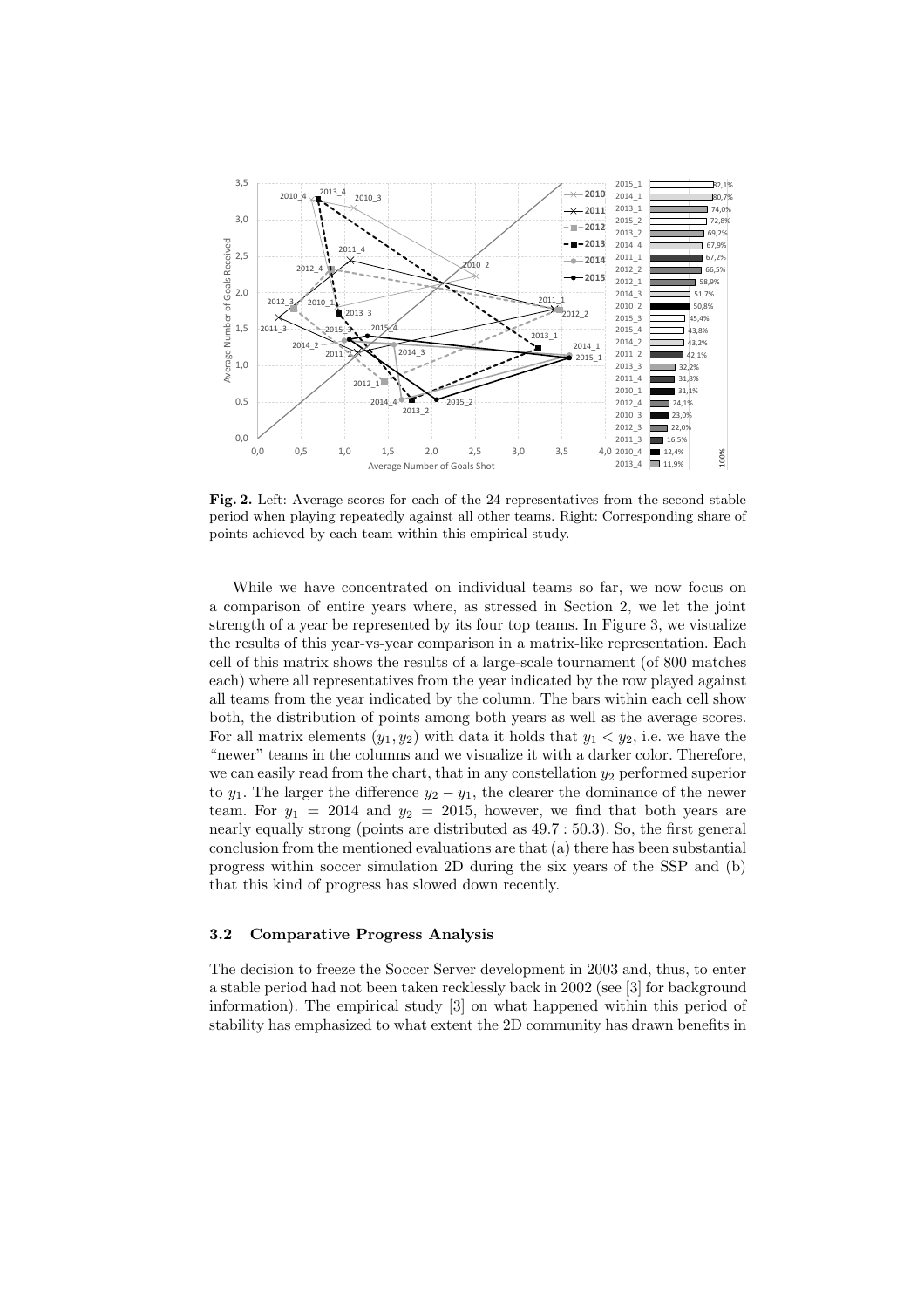

Fig. 2. Left: Average scores for each of the 24 representatives from the second stable period when playing repeatedly against all other teams. Right: Corresponding share of points achieved by each team within this empirical study.

While we have concentrated on individual teams so far, we now focus on a comparison of entire years where, as stressed in Section 2, we let the joint strength of a year be represented by its four top teams. In Figure 3, we visualize the results of this year-vs-year comparison in a matrix-like representation. Each cell of this matrix shows the results of a large-scale tournament (of 800 matches each) where all representatives from the year indicated by the row played against all teams from the year indicated by the column. The bars within each cell show both, the distribution of points among both years as well as the average scores. For all matrix elements  $(y_1, y_2)$  with data it holds that  $y_1 < y_2$ , i.e. we have the "newer" teams in the columns and we visualize it with a darker color. Therefore, we can easily read from the chart, that in any constellation  $y_2$  performed superior to  $y_1$ . The larger the difference  $y_2 - y_1$ , the clearer the dominance of the newer team. For  $y_1 = 2014$  and  $y_2 = 2015$ , however, we find that both years are nearly equally strong (points are distributed as 49.7 : 50.3). So, the first general conclusion from the mentioned evaluations are that (a) there has been substantial progress within soccer simulation 2D during the six years of the SSP and (b) that this kind of progress has slowed down recently.

#### 3.2 Comparative Progress Analysis

The decision to freeze the Soccer Server development in 2003 and, thus, to enter a stable period had not been taken recklessly back in 2002 (see [3] for background information). The empirical study [3] on what happened within this period of stability has emphasized to what extent the 2D community has drawn benefits in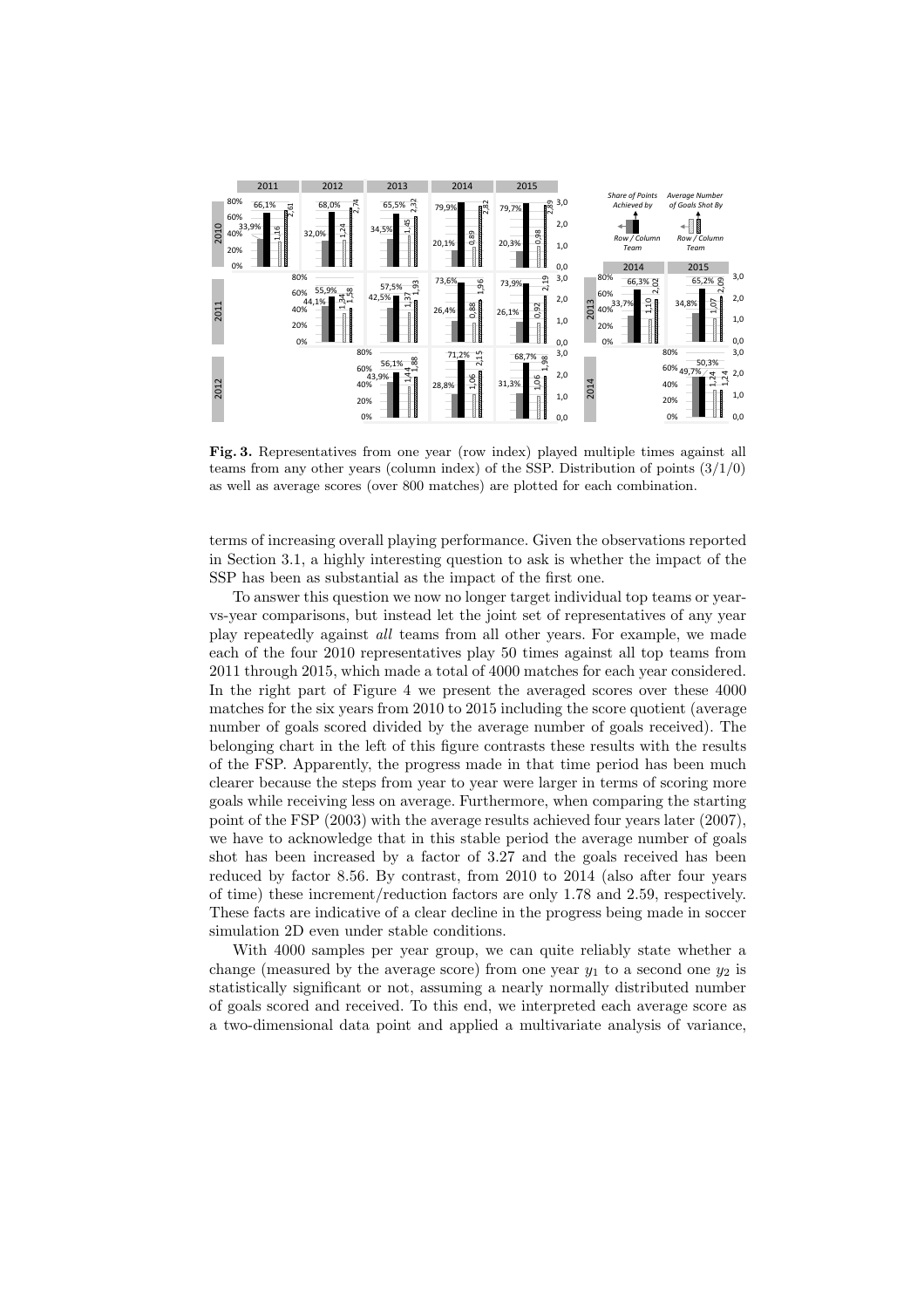

Fig. 3. Representatives from one year (row index) played multiple times against all teams from any other years (column index) of the SSP. Distribution of points (3/1/0) as well as average scores (over 800 matches) are plotted for each combination.

terms of increasing overall playing performance. Given the observations reported in Section 3.1, a highly interesting question to ask is whether the impact of the SSP has been as substantial as the impact of the first one.

To answer this question we now no longer target individual top teams or yearvs-year comparisons, but instead let the joint set of representatives of any year play repeatedly against all teams from all other years. For example, we made each of the four 2010 representatives play 50 times against all top teams from 2011 through 2015, which made a total of 4000 matches for each year considered. In the right part of Figure 4 we present the averaged scores over these 4000 matches for the six years from 2010 to 2015 including the score quotient (average number of goals scored divided by the average number of goals received). The belonging chart in the left of this figure contrasts these results with the results of the FSP. Apparently, the progress made in that time period has been much clearer because the steps from year to year were larger in terms of scoring more goals while receiving less on average. Furthermore, when comparing the starting point of the FSP (2003) with the average results achieved four years later (2007), we have to acknowledge that in this stable period the average number of goals shot has been increased by a factor of 3.27 and the goals received has been reduced by factor 8.56. By contrast, from 2010 to 2014 (also after four years of time) these increment/reduction factors are only 1.78 and 2.59, respectively. These facts are indicative of a clear decline in the progress being made in soccer simulation 2D even under stable conditions.

With 4000 samples per year group, we can quite reliably state whether a change (measured by the average score) from one year  $y_1$  to a second one  $y_2$  is statistically significant or not, assuming a nearly normally distributed number of goals scored and received. To this end, we interpreted each average score as a two-dimensional data point and applied a multivariate analysis of variance,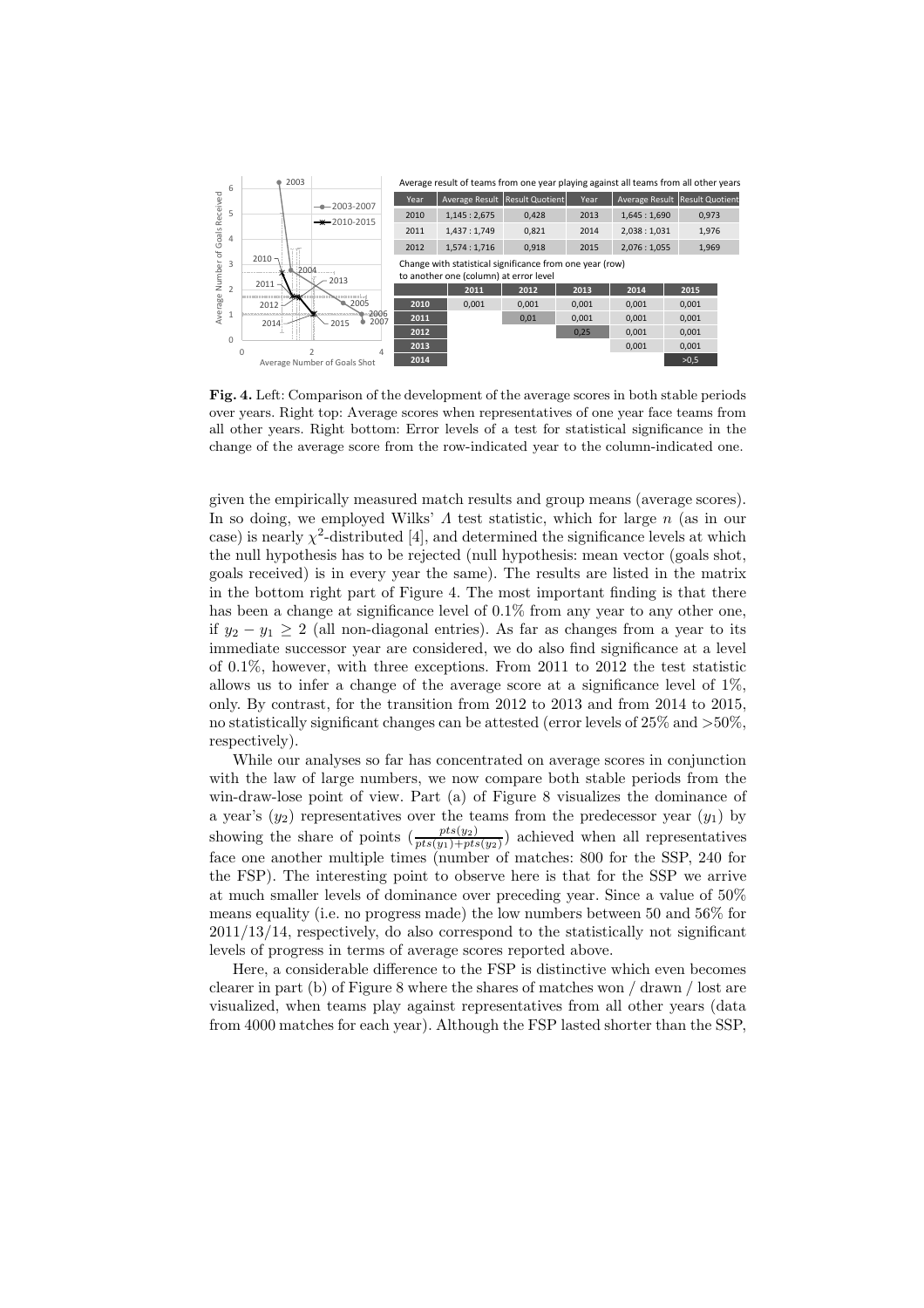

Fig. 4. Left: Comparison of the development of the average scores in both stable periods over years. Right top: Average scores when representatives of one year face teams from all other years. Right bottom: Error levels of a test for statistical significance in the change of the average score from the row-indicated year to the column-indicated one.

given the empirically measured match results and group means (average scores). In so doing, we employed Wilks'  $\Lambda$  test statistic, which for large  $n$  (as in our case) is nearly  $\chi^2$ -distributed [4], and determined the significance levels at which the null hypothesis has to be rejected (null hypothesis: mean vector (goals shot, goals received) is in every year the same). The results are listed in the matrix in the bottom right part of Figure 4. The most important finding is that there has been a change at significance level of  $0.1\%$  from any year to any other one, if  $y_2 - y_1 ≥ 2$  (all non-diagonal entries). As far as changes from a year to its immediate successor year are considered, we do also find significance at a level of 0.1%, however, with three exceptions. From 2011 to 2012 the test statistic allows us to infer a change of the average score at a significance level of 1%, only. By contrast, for the transition from 2012 to 2013 and from 2014 to 2015, no statistically significant changes can be attested (error levels of  $25\%$  and  $>50\%$ , respectively).

While our analyses so far has concentrated on average scores in conjunction with the law of large numbers, we now compare both stable periods from the win-draw-lose point of view. Part (a) of Figure 8 visualizes the dominance of a year's  $(y_2)$  representatives over the teams from the predecessor year  $(y_1)$  by showing the share of points  $\left(\frac{pts(y_1)}{pts(y_1)+pts(y_2)}\right)$  achieved when all representatives face one another multiple times (number of matches: 800 for the SSP, 240 for the FSP). The interesting point to observe here is that for the SSP we arrive at much smaller levels of dominance over preceding year. Since a value of 50% means equality (i.e. no progress made) the low numbers between 50 and 56% for 2011/13/14, respectively, do also correspond to the statistically not significant levels of progress in terms of average scores reported above.

Here, a considerable difference to the FSP is distinctive which even becomes clearer in part (b) of Figure 8 where the shares of matches won  $/$  drawn  $/$  lost are visualized, when teams play against representatives from all other years (data from 4000 matches for each year). Although the FSP lasted shorter than the SSP,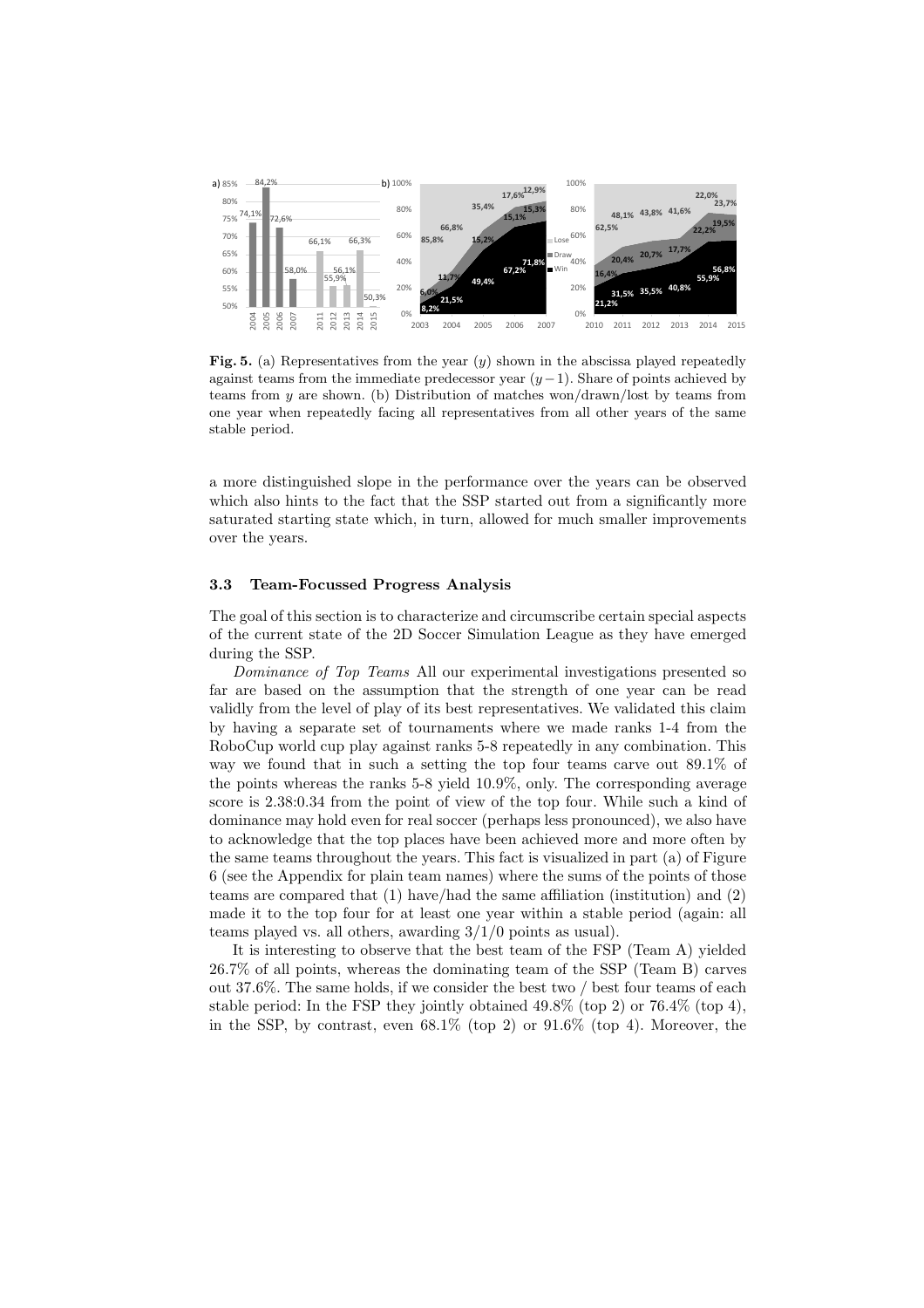

Fig. 5. (a) Representatives from the year  $(y)$  shown in the abscissa played repeatedly against teams from the immediate predecessor year  $(y-1)$ . Share of points achieved by teams from y are shown. (b) Distribution of matches won/drawn/lost by teams from one year when repeatedly facing all representatives from all other years of the same stable period.

a more distinguished slope in the performance over the years can be observed which also hints to the fact that the SSP started out from a significantly more saturated starting state which, in turn, allowed for much smaller improvements over the years.

#### 3.3 Team-Focussed Progress Analysis

The goal of this section is to characterize and circumscribe certain special aspects of the current state of the 2D Soccer Simulation League as they have emerged during the SSP.

Dominance of Top Teams All our experimental investigations presented so far are based on the assumption that the strength of one year can be read validly from the level of play of its best representatives. We validated this claim by having a separate set of tournaments where we made ranks 1-4 from the RoboCup world cup play against ranks 5-8 repeatedly in any combination. This way we found that in such a setting the top four teams carve out 89.1% of the points whereas the ranks 5-8 yield 10.9%, only. The corresponding average score is 2.38:0.34 from the point of view of the top four. While such a kind of dominance may hold even for real soccer (perhaps less pronounced), we also have to acknowledge that the top places have been achieved more and more often by the same teams throughout the years. This fact is visualized in part (a) of Figure 6 (see the Appendix for plain team names) where the sums of the points of those teams are compared that (1) have/had the same affiliation (institution) and (2) made it to the top four for at least one year within a stable period (again: all teams played vs. all others, awarding 3/1/0 points as usual).

It is interesting to observe that the best team of the FSP (Team A) yielded 26.7% of all points, whereas the dominating team of the SSP (Team B) carves out 37.6%. The same holds, if we consider the best two / best four teams of each stable period: In the FSP they jointly obtained  $49.8\%$  (top 2) or  $76.4\%$  (top 4), in the SSP, by contrast, even  $68.1\%$  (top 2) or  $91.6\%$  (top 4). Moreover, the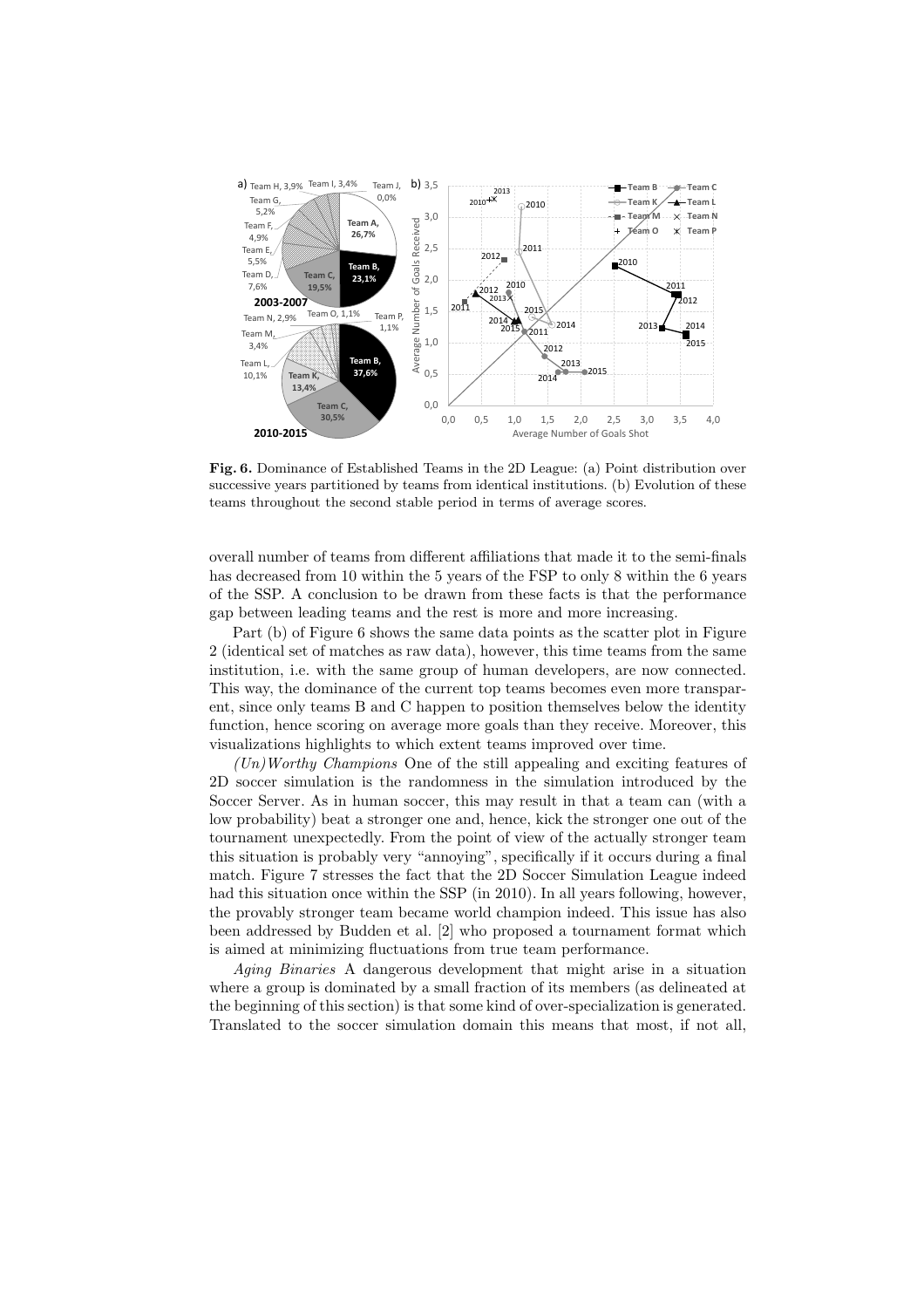

Fig. 6. Dominance of Established Teams in the 2D League: (a) Point distribution over successive years partitioned by teams from identical institutions. (b) Evolution of these teams throughout the second stable period in terms of average scores.

overall number of teams from different affiliations that made it to the semi-finals has decreased from 10 within the 5 years of the FSP to only 8 within the 6 years of the SSP. A conclusion to be drawn from these facts is that the performance gap between leading teams and the rest is more and more increasing.

Part (b) of Figure 6 shows the same data points as the scatter plot in Figure 2 (identical set of matches as raw data), however, this time teams from the same institution, i.e. with the same group of human developers, are now connected. This way, the dominance of the current top teams becomes even more transparent, since only teams B and C happen to position themselves below the identity function, hence scoring on average more goals than they receive. Moreover, this visualizations highlights to which extent teams improved over time.

 $(Un)$ Worthy Champions One of the still appealing and exciting features of 2D soccer simulation is the randomness in the simulation introduced by the Soccer Server. As in human soccer, this may result in that a team can (with a low probability) beat a stronger one and, hence, kick the stronger one out of the tournament unexpectedly. From the point of view of the actually stronger team this situation is probably very "annoying", specifically if it occurs during a final match. Figure 7 stresses the fact that the 2D Soccer Simulation League indeed had this situation once within the SSP (in 2010). In all years following, however, the provably stronger team became world champion indeed. This issue has also been addressed by Budden et al. [2] who proposed a tournament format which is aimed at minimizing fluctuations from true team performance.

Aging Binaries A dangerous development that might arise in a situation where a group is dominated by a small fraction of its members (as delineated at the beginning of this section) is that some kind of over-specialization is generated. Translated to the soccer simulation domain this means that most, if not all,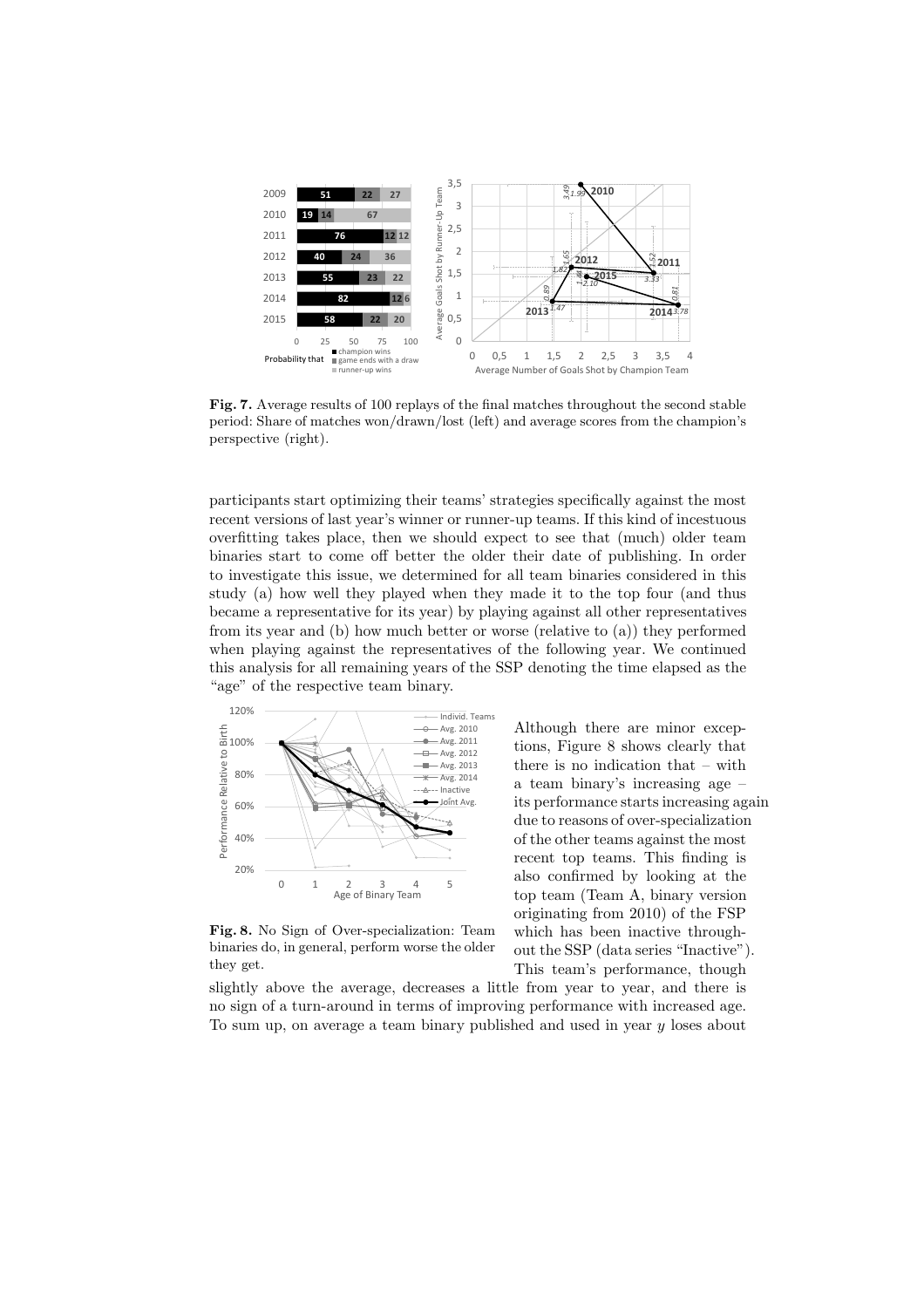

Fig. 7. Average results of 100 replays of the final matches throughout the second stable period: Share of matches won/drawn/lost (left) and average scores from the champion's perspective (right).

participants start optimizing their teams' strategies specifically against the most recent versions of last year's winner or runner-up teams. If this kind of incestuous overfitting takes place, then we should expect to see that (much) older team binaries start to come off better the older their date of publishing. In order to investigate this issue, we determined for all team binaries considered in this study (a) how well they played when they made it to the top four (and thus became a representative for its year) by playing against all other representatives from its year and (b) how much better or worse (relative to (a)) they performed when playing against the representatives of the following year. We continued this analysis for all remaining years of the SSP denoting the time elapsed as the "age" of the respective team binary.



they get.

Fig. 8. No Sign of Over-specialization: Team binaries do, in general, perform worse the older

slightly above the average, decreases a little from year to year, and there is no sign of a turn-around in terms of improving performance with increased age. To sum up, on average a team binary published and used in year  $y$  loses about

Although there are minor exceptions, Figure 8 shows clearly that there is no indication that – with a team binary's increasing age – its performance starts increasing again due to reasons of over-specialization of the other teams against the most recent top teams. This finding is also confirmed by looking at the top team (Team A, binary version originating from 2010) of the FSP which has been inactive throughout the SSP (data series "Inactive"). This team's performance, though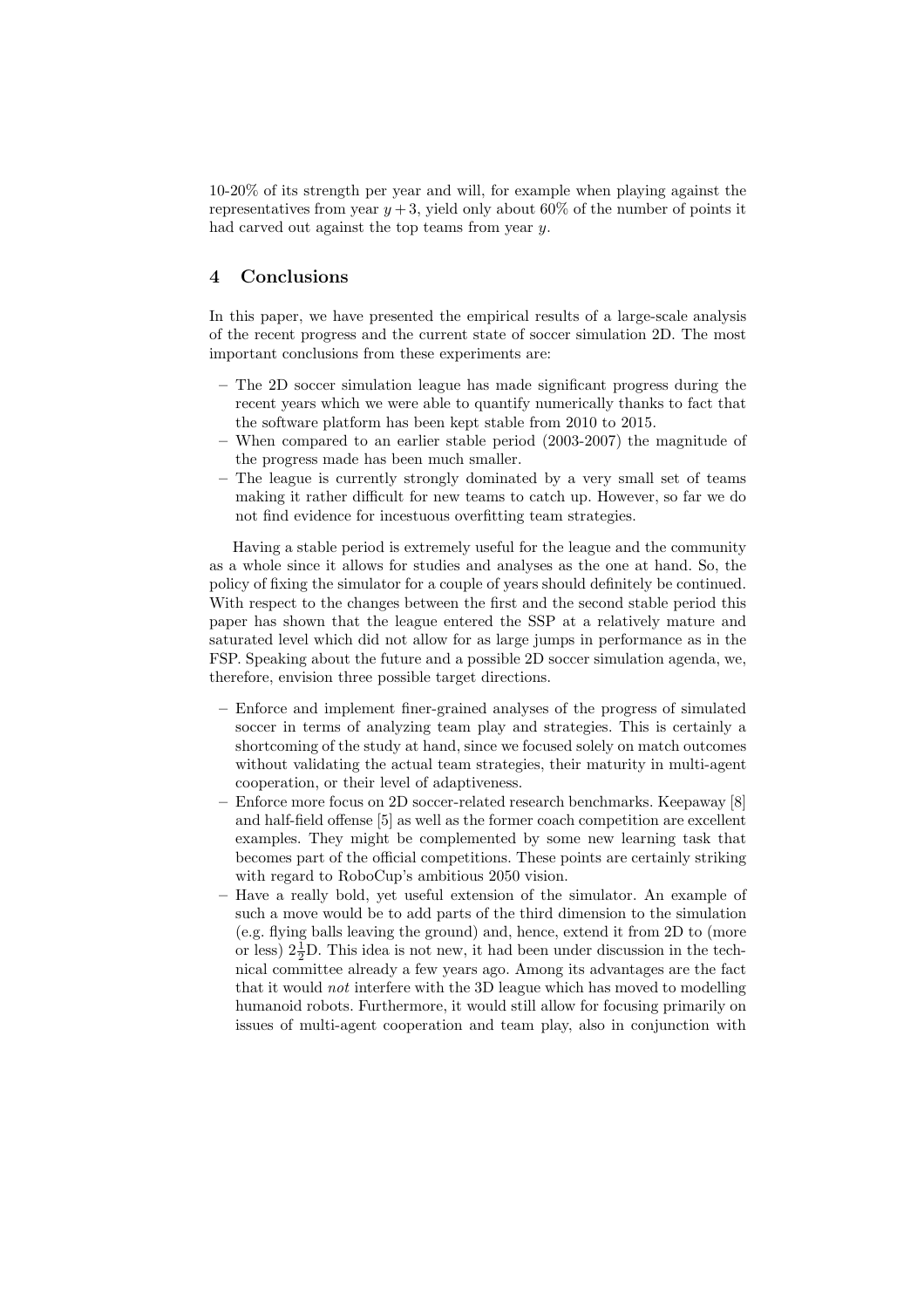10-20% of its strength per year and will, for example when playing against the representatives from year  $y + 3$ , yield only about 60% of the number of points it had carved out against the top teams from year y.

## 4 Conclusions

In this paper, we have presented the empirical results of a large-scale analysis of the recent progress and the current state of soccer simulation 2D. The most important conclusions from these experiments are:

- The 2D soccer simulation league has made significant progress during the recent years which we were able to quantify numerically thanks to fact that the software platform has been kept stable from 2010 to 2015.
- When compared to an earlier stable period (2003-2007) the magnitude of the progress made has been much smaller.
- The league is currently strongly dominated by a very small set of teams making it rather difficult for new teams to catch up. However, so far we do not find evidence for incestuous overfitting team strategies.

Having a stable period is extremely useful for the league and the community as a whole since it allows for studies and analyses as the one at hand. So, the policy of fixing the simulator for a couple of years should definitely be continued. With respect to the changes between the first and the second stable period this paper has shown that the league entered the SSP at a relatively mature and saturated level which did not allow for as large jumps in performance as in the FSP. Speaking about the future and a possible 2D soccer simulation agenda, we, therefore, envision three possible target directions.

- Enforce and implement finer-grained analyses of the progress of simulated soccer in terms of analyzing team play and strategies. This is certainly a shortcoming of the study at hand, since we focused solely on match outcomes without validating the actual team strategies, their maturity in multi-agent cooperation, or their level of adaptiveness.
- Enforce more focus on 2D soccer-related research benchmarks. Keepaway [8] and half-field offense [5] as well as the former coach competition are excellent examples. They might be complemented by some new learning task that becomes part of the official competitions. These points are certainly striking with regard to RoboCup's ambitious 2050 vision.
- Have a really bold, yet useful extension of the simulator. An example of such a move would be to add parts of the third dimension to the simulation (e.g. flying balls leaving the ground) and, hence, extend it from 2D to (more or less)  $2\frac{1}{2}D$ . This idea is not new, it had been under discussion in the technical committee already a few years ago. Among its advantages are the fact that it would not interfere with the 3D league which has moved to modelling humanoid robots. Furthermore, it would still allow for focusing primarily on issues of multi-agent cooperation and team play, also in conjunction with